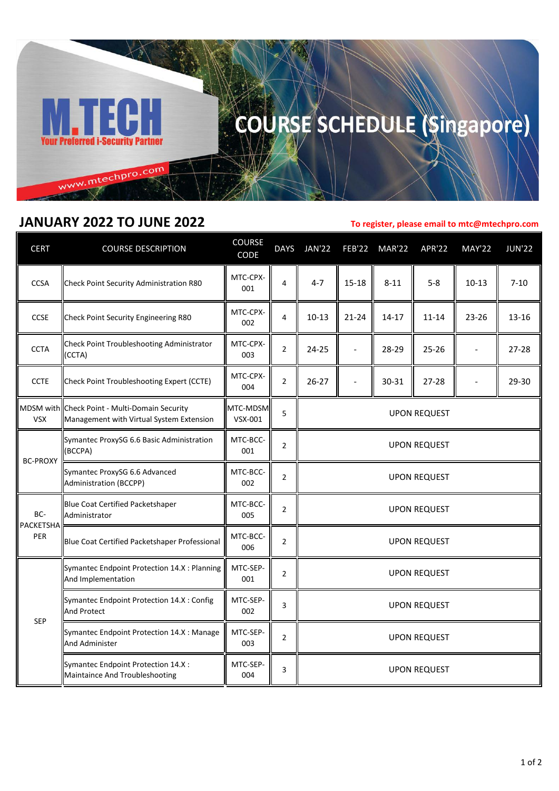

## COURSE SCHEDULE (Singapore)

## **JANUARY 2022 TO JUNE 2022**

**To register, please email to mtc@mtechpro.com**

| <b>CERT</b>             | <b>COURSE DESCRIPTION</b>                                                                 | <b>COURSE</b><br>CODE | <b>DAYS</b>    | <b>JAN'22</b>       | <b>FEB'22</b>  | <b>MAR'22</b> | <b>APR'22</b> | <b>MAY'22</b> | <b>JUN'22</b> |
|-------------------------|-------------------------------------------------------------------------------------------|-----------------------|----------------|---------------------|----------------|---------------|---------------|---------------|---------------|
| <b>CCSA</b>             | Check Point Security Administration R80                                                   | MTC-CPX-<br>001       | 4              | $4 - 7$             | $15 - 18$      | $8 - 11$      | $5 - 8$       | $10 - 13$     | $7 - 10$      |
| CCSE                    | Check Point Security Engineering R80                                                      | MTC-CPX-<br>002       | 4              | $10 - 13$           | $21 - 24$      | $14 - 17$     | $11 - 14$     | 23-26         | 13-16         |
| <b>CCTA</b>             | Check Point Troubleshooting Administrator<br>(CCTA)                                       | MTC-CPX-<br>003       | $\overline{2}$ | 24-25               | $\overline{a}$ | 28-29         | $25 - 26$     |               | $27 - 28$     |
| <b>CCTE</b>             | Check Point Troubleshooting Expert (CCTE)                                                 | MTC-CPX-<br>004       | $\overline{2}$ | $26 - 27$           |                | 30-31         | 27-28         |               | 29-30         |
| <b>VSX</b>              | MDSM with Check Point - Multi-Domain Security<br>Management with Virtual System Extension | MTC-MDSM-<br>VSX-001  | 5              | <b>UPON REQUEST</b> |                |               |               |               |               |
| <b>BC-PROXY</b>         | Symantec ProxySG 6.6 Basic Administration<br>(BCCPA)                                      | MTC-BCC-<br>001       | $\overline{2}$ | <b>UPON REQUEST</b> |                |               |               |               |               |
|                         | Symantec ProxySG 6.6 Advanced<br><b>Administration (BCCPP)</b>                            | MTC-BCC-<br>002       | 2              | <b>UPON REQUEST</b> |                |               |               |               |               |
| BC-<br>PACKETSHA<br>PER | Blue Coat Certified Packetshaper<br>Administrator                                         | MTC-BCC-<br>005       | $\overline{2}$ | <b>UPON REQUEST</b> |                |               |               |               |               |
|                         | Blue Coat Certified Packetshaper Professional                                             | MTC-BCC-<br>006       | $\overline{2}$ | <b>UPON REQUEST</b> |                |               |               |               |               |
| SEP                     | Symantec Endpoint Protection 14.X : Planning<br>And Implementation                        | MTC-SEP-<br>001       | $\overline{2}$ | <b>UPON REQUEST</b> |                |               |               |               |               |
|                         | Symantec Endpoint Protection 14.X : Config<br><b>And Protect</b>                          | MTC-SEP-<br>002       | 3              | <b>UPON REQUEST</b> |                |               |               |               |               |
|                         | Symantec Endpoint Protection 14.X : Manage<br><b>And Administer</b>                       | MTC-SEP-<br>003       | $\overline{2}$ | <b>UPON REQUEST</b> |                |               |               |               |               |
|                         | Symantec Endpoint Protection 14.X :<br>Maintaince And Troubleshooting                     | MTC-SEP-<br>004       | 3              | <b>UPON REQUEST</b> |                |               |               |               |               |